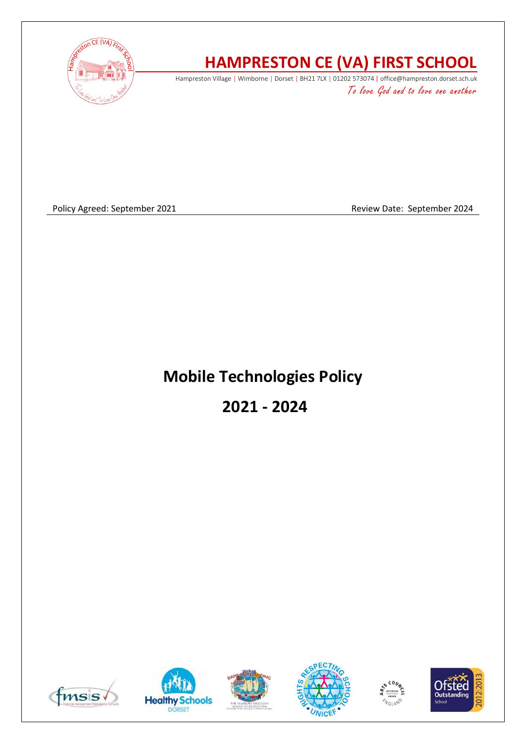

# **HAMPRESTON CE (VA) FIRST SCHOOL**

Hampreston Village | Wimborne | Dorset | BH21 7LX | 01202 573074 | office@hampreston.dorset.sch.uk To love God and to love one another

Policy Agreed: September 2021 and a september 2024

## **Mobile Technologies Policy**

**2021 - 2024**











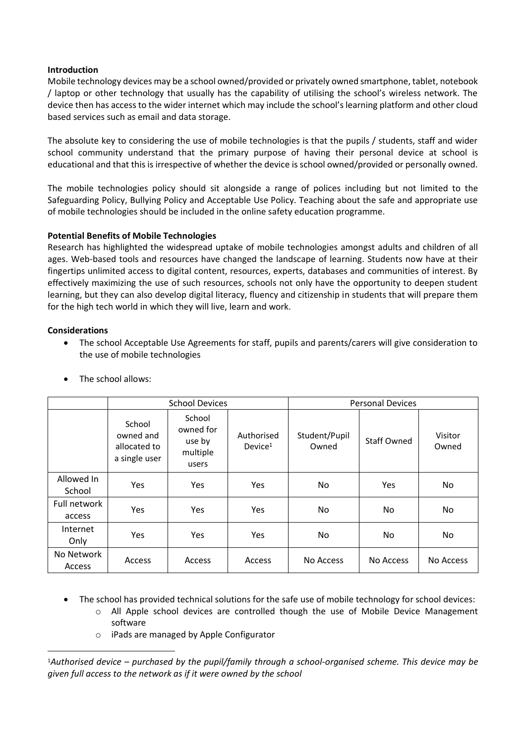### **Introduction**

Mobile technology devices may be a school owned/provided or privately owned smartphone, tablet, notebook / laptop or other technology that usually has the capability of utilising the school's wireless network. The device then has access to the wider internet which may include the school's learning platform and other cloud based services such as email and data storage.

The absolute key to considering the use of mobile technologies is that the pupils / students, staff and wider school community understand that the primary purpose of having their personal device at school is educational and that this is irrespective of whether the device is school owned/provided or personally owned.

The mobile technologies policy should sit alongside a range of polices including but not limited to the Safeguarding Policy, Bullying Policy and Acceptable Use Policy. Teaching about the safe and appropriate use of mobile technologies should be included in the online safety education programme.

### **Potential Benefits of Mobile Technologies**

Research has highlighted the widespread uptake of mobile technologies amongst adults and children of all ages. Web-based tools and resources have changed the landscape of learning. Students now have at their fingertips unlimited access to digital content, resources, experts, databases and communities of interest. By effectively maximizing the use of such resources, schools not only have the opportunity to deepen student learning, but they can also develop digital literacy, fluency and citizenship in students that will prepare them for the high tech world in which they will live, learn and work.

### **Considerations**

• The school Acceptable Use Agreements for staff, pupils and parents/carers will give consideration to the use of mobile technologies

|                        | <b>School Devices</b>                                |                                                    |                                   | <b>Personal Devices</b> |                    |                  |
|------------------------|------------------------------------------------------|----------------------------------------------------|-----------------------------------|-------------------------|--------------------|------------------|
|                        | School<br>owned and<br>allocated to<br>a single user | School<br>owned for<br>use by<br>multiple<br>users | Authorised<br>Device <sup>1</sup> | Student/Pupil<br>Owned  | <b>Staff Owned</b> | Visitor<br>Owned |
| Allowed In<br>School   | <b>Yes</b>                                           | Yes                                                | <b>Yes</b>                        | No.                     | Yes                | No               |
| Full network<br>access | <b>Yes</b>                                           | Yes                                                | <b>Yes</b>                        | No.                     | No.                | No.              |
| Internet<br>Only       | <b>Yes</b>                                           | Yes                                                | Yes                               | No.                     | No.                | No               |
| No Network<br>Access   | Access                                               | Access                                             | Access                            | No Access               | No Access          | No Access        |

• The school allows:

- The school has provided technical solutions for the safe use of mobile technology for school devices:
	- o All Apple school devices are controlled though the use of Mobile Device Management software
	- o iPads are managed by Apple Configurator

<sup>1</sup>*Authorised device – purchased by the pupil/family through a school-organised scheme. This device may be given full access to the network as if it were owned by the school*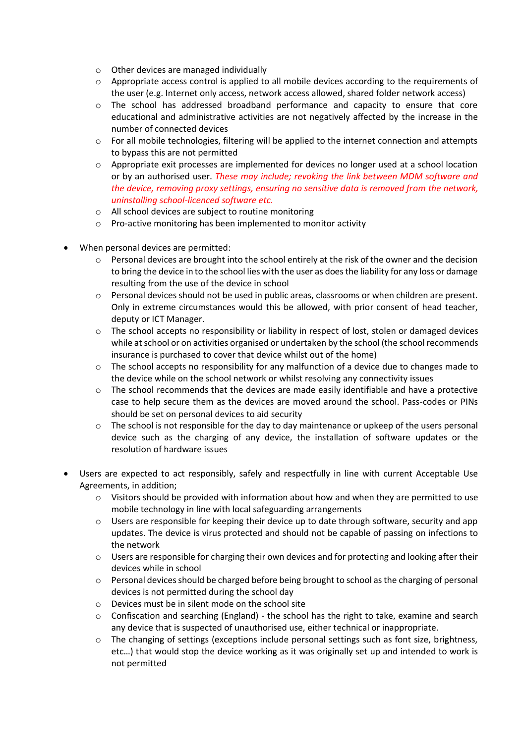- o Other devices are managed individually
- o Appropriate access control is applied to all mobile devices according to the requirements of the user (e.g. Internet only access, network access allowed, shared folder network access)
- o The school has addressed broadband performance and capacity to ensure that core educational and administrative activities are not negatively affected by the increase in the number of connected devices
- $\circ$  For all mobile technologies, filtering will be applied to the internet connection and attempts to bypass this are not permitted
- o Appropriate exit processes are implemented for devices no longer used at a school location or by an authorised user. *These may include; revoking the link between MDM software and the device, removing proxy settings, ensuring no sensitive data is removed from the network, uninstalling school-licenced software etc.*
- o All school devices are subject to routine monitoring
- o Pro-active monitoring has been implemented to monitor activity
- When personal devices are permitted:
	- $\circ$  Personal devices are brought into the school entirely at the risk of the owner and the decision to bring the device in to the school lies with the user as does the liability for any loss or damage resulting from the use of the device in school
	- o Personal devices should not be used in public areas, classrooms or when children are present. Only in extreme circumstances would this be allowed, with prior consent of head teacher, deputy or ICT Manager.
	- o The school accepts no responsibility or liability in respect of lost, stolen or damaged devices while at school or on activities organised or undertaken by the school (the school recommends insurance is purchased to cover that device whilst out of the home)
	- o The school accepts no responsibility for any malfunction of a device due to changes made to the device while on the school network or whilst resolving any connectivity issues
	- $\circ$  The school recommends that the devices are made easily identifiable and have a protective case to help secure them as the devices are moved around the school. Pass-codes or PINs should be set on personal devices to aid security
	- $\circ$  The school is not responsible for the day to day maintenance or upkeep of the users personal device such as the charging of any device, the installation of software updates or the resolution of hardware issues
- Users are expected to act responsibly, safely and respectfully in line with current Acceptable Use Agreements, in addition;
	- $\circ$  Visitors should be provided with information about how and when they are permitted to use mobile technology in line with local safeguarding arrangements
	- $\circ$  Users are responsible for keeping their device up to date through software, security and app updates. The device is virus protected and should not be capable of passing on infections to the network
	- $\circ$  Users are responsible for charging their own devices and for protecting and looking after their devices while in school
	- o Personal devices should be charged before being brought to school as the charging of personal devices is not permitted during the school day
	- o Devices must be in silent mode on the school site
	- $\circ$  Confiscation and searching (England) the school has the right to take, examine and search any device that is suspected of unauthorised use, either technical or inappropriate.
	- o The changing of settings (exceptions include personal settings such as font size, brightness, etc…) that would stop the device working as it was originally set up and intended to work is not permitted